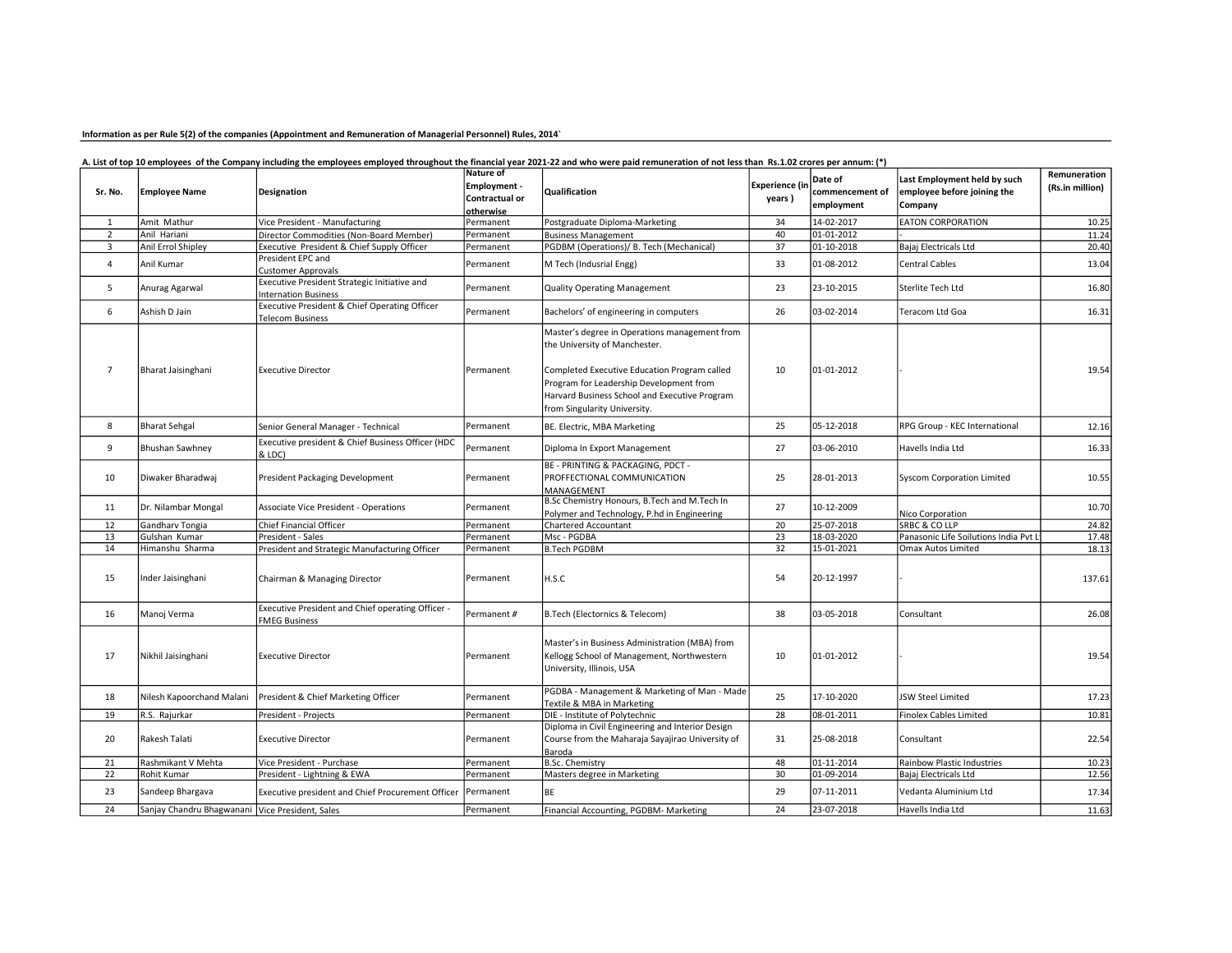# Information as per Rule 5(2) of the companies (Appointment and Remuneration of Managerial Personnel) Rules, 2014`

# A. List of top 10 employees of the Company including the employees employed throughout the financial year 2021-22 and who were paid remuneration of not less than Rs.1.02 crores per annum: (\*)

|                 | <b>Employee Name</b>                            | Designation                                                                 | Nature of      | Qualification                                                                                                                                                            | Experience (i   | Date of<br>commencement of<br>employment | Last Employment held by such<br>employee before joining the<br>Company | Remuneration    |
|-----------------|-------------------------------------------------|-----------------------------------------------------------------------------|----------------|--------------------------------------------------------------------------------------------------------------------------------------------------------------------------|-----------------|------------------------------------------|------------------------------------------------------------------------|-----------------|
| Sr. No.         |                                                 |                                                                             | Employment -   |                                                                                                                                                                          |                 |                                          |                                                                        | (Rs.in million) |
|                 |                                                 |                                                                             | Contractual or |                                                                                                                                                                          | years)          |                                          |                                                                        |                 |
|                 |                                                 |                                                                             | otherwise      |                                                                                                                                                                          |                 |                                          |                                                                        |                 |
| 1               | Amit Mathur                                     | Vice President - Manufacturing                                              | Permanent      | Postgraduate Diploma-Marketing                                                                                                                                           | 34              | 14-02-2017                               | <b>EATON CORPORATION</b>                                               | 10.25           |
| $\overline{2}$  | Anil Hariani                                    | Director Commodities (Non-Board Member)                                     | Permanent      | <b>Business Management</b>                                                                                                                                               | 40              | 01-01-2012                               |                                                                        | 11.24           |
| 3               | Anil Errol Shipley                              | Executive President & Chief Supply Officer                                  | Permanent      | PGDBM (Operations)/ B. Tech (Mechanical)                                                                                                                                 | 37              | 01-10-2018                               | Bajaj Electricals Ltd                                                  | 20.40           |
| 4               | Anil Kumar                                      | President EPC and<br><b>Customer Approvals</b>                              | Permanent      | M Tech (Indusrial Engg)                                                                                                                                                  | 33              | 01-08-2012                               | <b>Central Cables</b>                                                  | 13.04           |
| 5               | Anurag Agarwal                                  | Executive President Strategic Initiative and<br><b>Internation Business</b> | Permanent      | <b>Quality Operating Management</b>                                                                                                                                      | 23              | 23-10-2015                               | Sterlite Tech Ltd                                                      | 16.80           |
| 6               | Ashish D Jain                                   | Executive President & Chief Operating Officer<br><b>Telecom Business</b>    | Permanent      | Bachelors' of engineering in computers                                                                                                                                   | 26              | 03-02-2014                               | Teracom Ltd Goa                                                        | 16.31           |
|                 |                                                 |                                                                             |                | Master's degree in Operations management from<br>the University of Manchester.                                                                                           |                 |                                          |                                                                        |                 |
| $\overline{7}$  | Bharat Jaisinghani                              | <b>Executive Director</b>                                                   | Permanent      | Completed Executive Education Program called<br>Program for Leadership Development from<br>Harvard Business School and Executive Program<br>from Singularity University. | 10              | 01-01-2012                               |                                                                        | 19.54           |
| 8               | <b>Bharat Sehgal</b>                            | Senior General Manager - Technical                                          | Permanent      | BE. Electric, MBA Marketing                                                                                                                                              | 25              | 05-12-2018                               | RPG Group - KEC International                                          | 12.16           |
| 9               | <b>Bhushan Sawhney</b>                          | Executive president & Chief Business Officer (HDC<br>& LDC)                 | Permanent      | Diploma In Export Management                                                                                                                                             | 27              | 03-06-2010                               | Havells India Ltd                                                      | 16.33           |
| 10              | Diwaker Bharadwaj                               | President Packaging Development                                             | Permanent      | BE - PRINTING & PACKAGING, PDCT -<br><b>PROFFECTIONAL COMMUNICATION</b><br>MANAGEMENT                                                                                    | 25              | 28-01-2013                               | <b>Syscom Corporation Limited</b>                                      | 10.55           |
| 11              | Dr. Nilambar Mongal                             | Associate Vice President - Operations                                       | Permanent      | B.Sc Chemistry Honours, B.Tech and M.Tech In<br>Polymer and Technology, P.hd in Engineering                                                                              | 27              | 10-12-2009                               | Nico Corporation                                                       | 10.70           |
| 12              | Gandharv Tongia                                 | <b>Chief Financial Officer</b>                                              | Permanent      | <b>Chartered Accountant</b>                                                                                                                                              | 20              | 25-07-2018                               | SRBC & CO LLP                                                          | 24.82           |
| 13              | Gulshan Kumar                                   | President - Sales                                                           | Permanent      | Msc - PGDBA                                                                                                                                                              | 23              | 18-03-2020                               | Panasonic Life Soilutions India Pvt L                                  | 17.48           |
| 14              | Himanshu Sharma                                 | President and Strategic Manufacturing Officer                               | Permanent      | <b>B.Tech PGDBM</b>                                                                                                                                                      | 32              | 15-01-2021                               | Omax Autos Limited                                                     | 18.13           |
| 15              | Inder Jaisinghani                               | Chairman & Managing Director                                                | Permanent      | H.S.C                                                                                                                                                                    | 54              | 20-12-1997                               |                                                                        | 137.61          |
| 16              | Manoj Verma                                     | Executive President and Chief operating Officer -<br><b>FMEG Business</b>   | Permanent #    | B.Tech (Electornics & Telecom)                                                                                                                                           | 38              | 03-05-2018                               | Consultant                                                             | 26.08           |
| 17              | Nikhil Jaisinghani                              | <b>Executive Director</b>                                                   | Permanent      | Master's in Business Administration (MBA) from<br>Kellogg School of Management, Northwestern<br>University, Illinois, USA                                                | 10              | 01-01-2012                               |                                                                        | 19.54           |
| 18              | Nilesh Kapoorchand Malani                       | President & Chief Marketing Officer                                         | Permanent      | PGDBA - Management & Marketing of Man - Made<br>Textile & MBA in Marketing                                                                                               | 25              | 17-10-2020                               | JSW Steel Limited                                                      | 17.23           |
| 19              | R.S. Rajurkar                                   | President - Projects                                                        | Permanent      | DIE - Institute of Polytechnic                                                                                                                                           | 28              | 08-01-2011                               | <b>Finolex Cables Limited</b>                                          | 10.81           |
| 20              | Rakesh Talati                                   | <b>Executive Director</b>                                                   | Permanent      | Diploma in Civil Engineering and Interior Design<br>Course from the Maharaja Sayajirao University of<br>Baroda                                                           | 31              | 25-08-2018                               | Consultant                                                             | 22.54           |
| 21              | Rashmikant V Mehta                              | Vice President - Purchase                                                   | Permanent      | <b>B.Sc. Chemistry</b>                                                                                                                                                   | 48              | 01-11-2014                               | Rainbow Plastic Industries                                             | 10.23           |
| 22              | Rohit Kumar                                     | President - Lightning & EWA                                                 | Permanent      | Masters degree in Marketing                                                                                                                                              | 30              | 01-09-2014                               | Bajaj Electricals Ltd                                                  | 12.56           |
| 23              | Sandeep Bhargava                                | Executive president and Chief Procurement Officer                           | Permanent      | <b>BE</b>                                                                                                                                                                | 29              | 07-11-2011                               | Vedanta Aluminium Ltd                                                  | 17.34           |
| $\overline{24}$ | Sanjay Chandru Bhagwanani Vice President, Sales |                                                                             | Permanent      | Financial Accounting, PGDBM- Marketing                                                                                                                                   | $\overline{24}$ | 23-07-2018                               | Havells India Ltd                                                      | 11.63           |